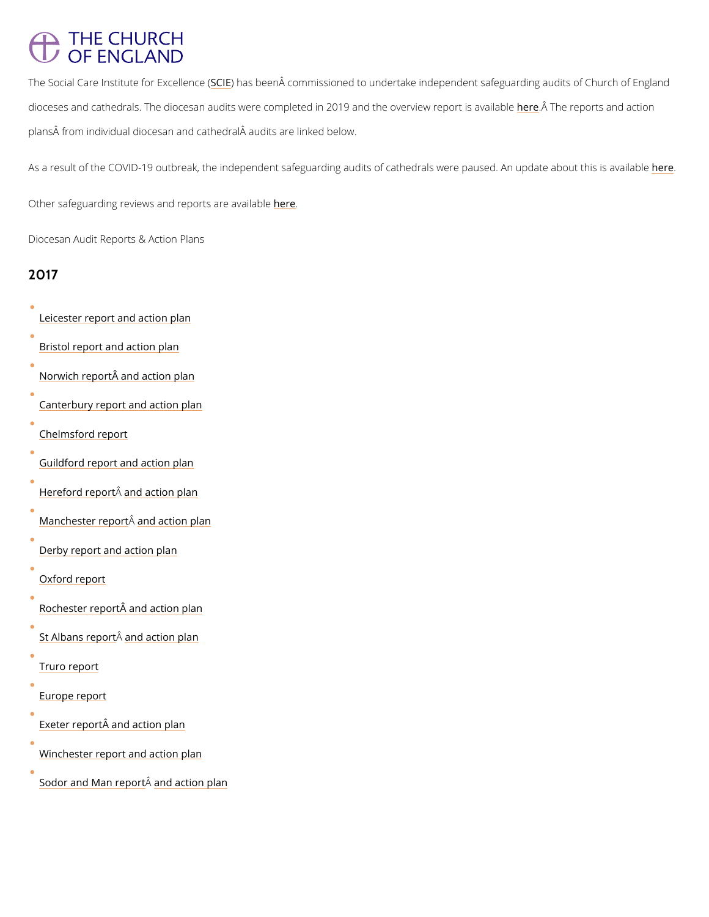## **THE CHURCH** OF ENGLAND

The Social Care Institute Sf@lE Faxsed beem  $\hat{A}$ e dommissioned to undertake independent safeguarding dioceses and cathedrals. The diocesan audits were completed in 20meer. And hten erepoveration of apport plans from individual diocesan and cathedral audits are linked below.

As a result of the COVID-19 outbreak, the independent safeguarding audits of cathed the also were.

Ot[her](https://www.churchofengland.org/safeguarding/overview/reviews-and-reports) safeguarding reviews and rehpeorets are available

Diocesan Audit Reports & Action Plans

#### 2017

- [Leicester report and](https://www.leicester.anglican.org/safeguarding/audit-2/) action plan
- [Bristol report and a](https://www.bristol.anglican.org/news/2017/05/03/safeguarding-audit-emphasises-dioceses-culture-and-progress/)ction plan
- Norwich report and action plan
- [Canterbury report and](https://www.canterburydiocese.org/safeguarding/) action plan
- [Chelmsford](https://www.chelmsford.anglican.org/uploads/Chelmsford-report-FINAL.pdf) report
- [Guildford report and](https://www.cofeguildford.org.uk/whats-on/news/detail/2017/08/23/diocese-of-guildford-has-a-positive-culture-of-safeguarding-) action plan
- [Hereford r](https://www.hereford.anglican.org/independentsafeguardingaudit/)eal pand action plan
- [Manchester](https://www.manchester.anglican.org/documents/independent-safeguarding-audit/) repeached taction plan
- [Derby report and a](http://www.derby.anglican.org/en/about-us/safeguarding-information-menu/scie-audit.html)ction plan
- [Oxford re](https://www.oxford.anglican.org/mission-ministry/safeguarding/audit/)port
- <u>Rochester report and</u> action plan
- [St Albans](https://www.stalbans.anglican.org/diocese/safeguarding/) repeat taction plan
- [Truro re](https://www.trurodiocese.org.uk/resource-collection/safeguarding/)port



Exeter report and action plan

[Winchester report and](https://www.winchester.anglican.org/safeguarding/) action plan

[Sodor and Man](https://cdn.buildresources.co.uk/sites/713/docs/Safeguarding/Sodor_and_Man_FINAL.pdf) Âneemorb ratction plan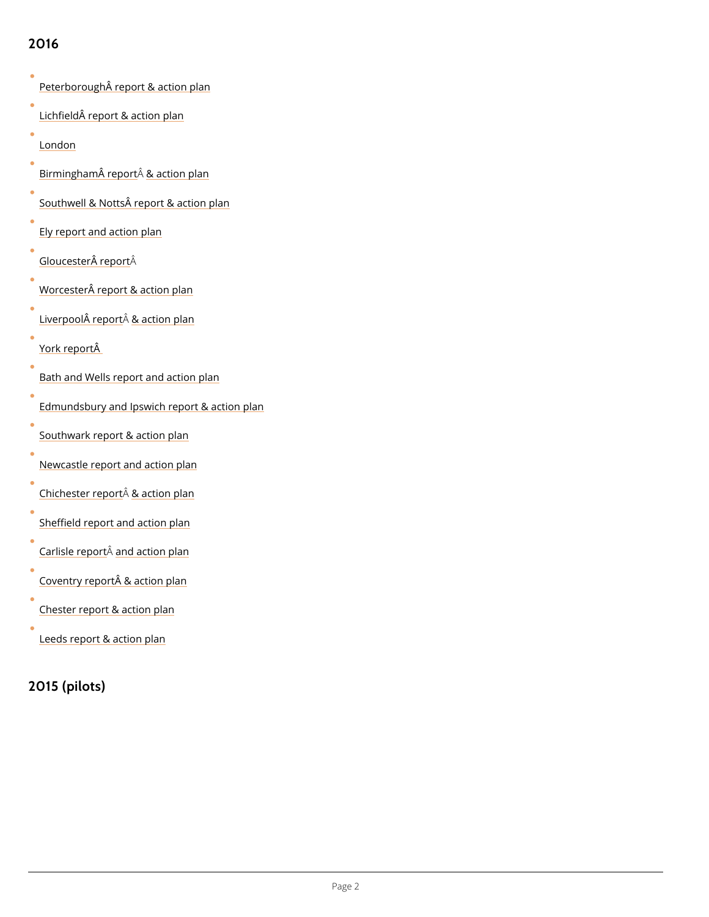# 2016

| Peterborough report & action plan            |
|----------------------------------------------|
| Lichfield report & action plan               |
| London                                       |
| <u>Birmingham Â</u> Âe&percttion plan        |
| Southwell & Notts report & action plan       |
| Ely report and action plan                   |
| Gloucester Âeport                            |
| <u>Worcester report &amp; action plan</u>    |
| Liverpool $\hat{A}$ responsition plan        |
| <u>York rep</u> ortÂ                         |
| Bath and Wells report and action plan        |
| Edmundsbury and Ipswich report & action plan |
| Southwark report & action plan               |
| Newcastle report and action plan             |
| Chichester Assparttion plan                  |
| Sheffield report and action plan             |
| Carlisle råpodtaction plan                   |
| Coventry report & action plan                |
| Chester report & action plan                 |
| Leeds report & action plan                   |

## 2015 (pilots)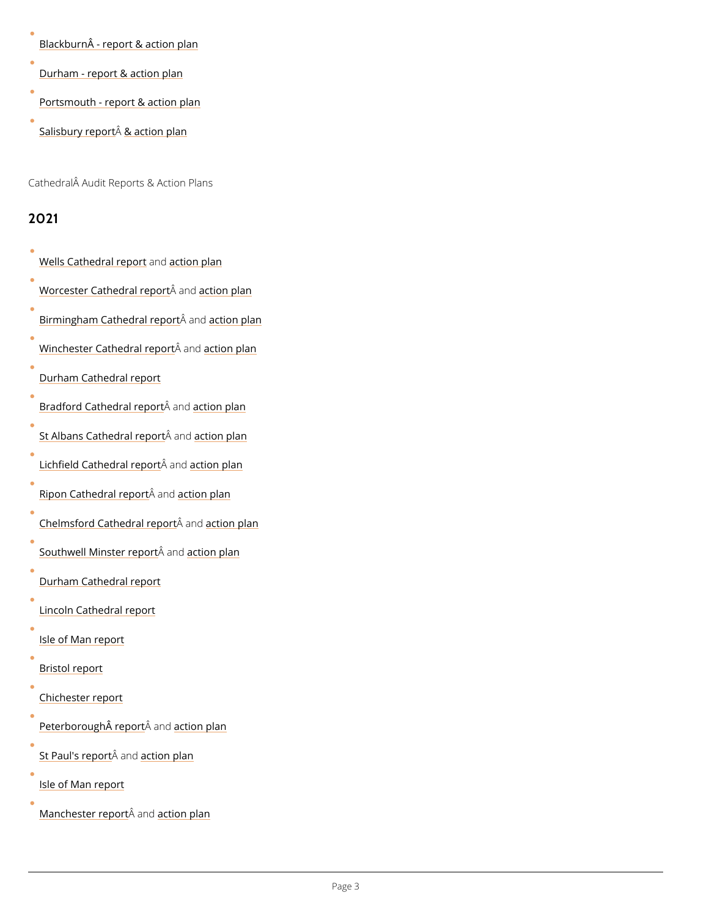$B$ lackburn $\hat{A}$  - report & action plan

[Durham - report & a](http://newsroom.durhamdiocese.net/download/national-safeguarding-pilot-audit-report/)ction plan

[Portsmouth - report &](http://www.portsmouth.anglican.org/safeguarding) action plan

[Salisbury](http://www.salisbury.anglican.org/resources-library/parishes/safeguarding1/Salisbury Safeguarding Audit Report 2015.pdf) roes carattion plan

Cathedral Audit Reports & Action Plans

#### 2021

[Wells Cathedra](https://2iko5z1en6hwooj872yzcvv5-wpengine.netdna-ssl.com/wp-content/uploads/2022/05/Wells-Cathedral-Safeguarding-Audit-Report-24.05.22.pdf)l aned pot on plan

[Worcester Cathedr](https://www.worcestercathedral.co.uk/media/1746/worcester-cathedral-safeguarding-audit-report-final-2021.pdf)<sup>a</sup>s laned point plan

[Birmingham Cathed](https://birminghamcathedral.contentfiles.net/media/assets/file/Birmingham_cathedral_audit_final.pdf)rÂalanadoptoin plan

[Winchester Cathed](https://www.winchester-cathedral.org.uk/wp-content/uploads/Winchester-Cathedral-Safeguarding-Audit-Final.pdf)r<sup>a</sup>a ban<mark>anekontoioth</mark> plan

[Durham Cathedra](https://www.durhamcathedral.co.uk/_assets/media/editor/Safeguarding/durham-cathedral-safeguarding-audit.pdf)l report

[Bradford Cathedr](https://d3hgrlq6yacptf.cloudfront.net/5f4778e1bb658/content/pages/documents/bradford-cathedral-safeguarding-audit-report.pdf)a<sup>s</sup> anead controller

[St Albans Cathed](https://stalbanscathedral.eu.rit.org.uk/Handlers/Download.ashx?IDMF=36fc28a2-f006-47f4-9be6-5683281cb2bb)rÂa la naeloptoiotn plan

[Lichfield Cathed](https://www.lichfield-cathedral.org/downloads/lichfield-audit-report-final.pdf)rand lanear biroth plan

[Ripon Cathedra](https://www.riponcathedral.org.uk/wp-content/uploads/Ripon-Cathedral-safeguarding-audit.pdf)  $\hat{A}$  reemport ton plan

[Chelmsford Cathed](https://www.chelmsfordcathedral.org.uk/uploads/files/Chelmsford-Cathedral-Safeguarding-Audit.pdf)r<sup>a</sup>alaneelphototn plan

[Southwell Minste](https://www.southwellminster.org/about-us/safeguarding/)<sup> $\mathbf{\hat{A}}$ </sup> atemptation plan

[Durham Cathedra](https://www.durhamcathedral.co.uk/_assets/media/editor/Safeguarding/scie-audit-action-plan-v1-internet-version.pdf)l report

[Lincoln Cathedr](https://lincolncathedral.com/wp-content/uploads/2021/12/2021-12-07-Lincoln-Cathedral-Safeguarding-Audit.pdf)al report

[Isle of Man](https://www.cathedral.im/files/downloads/docs/IoM report V1.3 (003) SCIE-1.pdf) report

[Bristol re](https://bristol-cathedral.co.uk/images/uploads/Bristol_Cathedral_report_final_180122.pdf)port

#### [Chichester](https://www.chichestercathedral.org.uk/sites/default/files/inline-files/Social Care Institute for Excellence - Chichester Cathedral Report_0.pdf) report

Peterborough Âreappedcttion plan

[St Paul's](https://www.stpauls.co.uk/SM4/Mutable/Uploads/medialibrary/St-Pauls-Independent-Safeguarding-audit-2021.pdf) reparrament tion plan

[Isle of Man](https://www.cathedral.im/files/downloads/docs/Audit Response dashboard Jan 22.pdf) report

[Manchester](https://www.manchestercathedral.org/site/assets/files/12519/manchester_cathedral_safeguarding_audit_report_final.pdf) r<sup>ep</sup>e paonent tion plan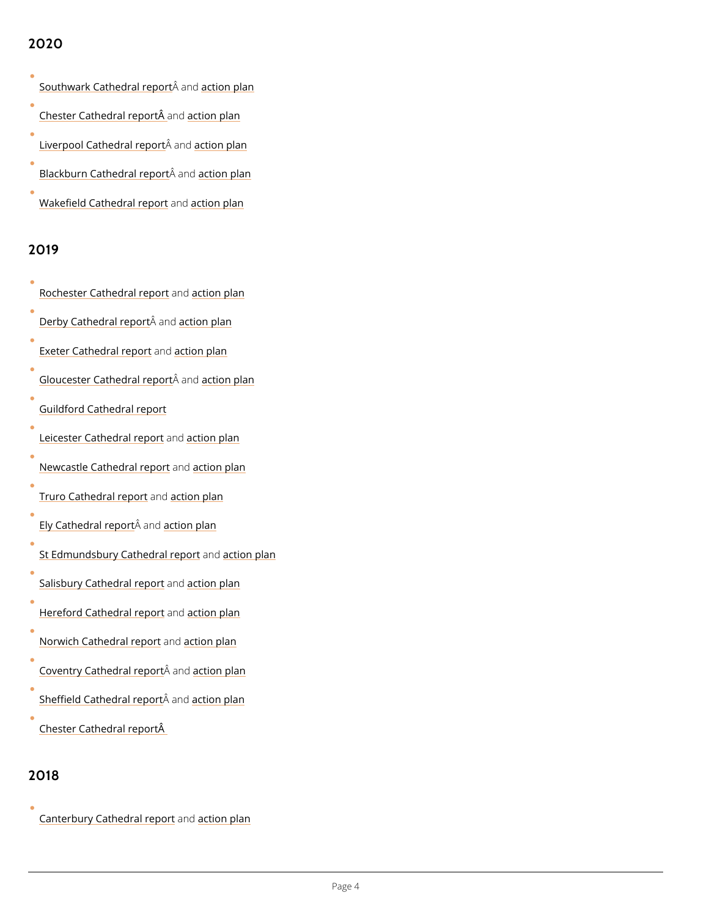### 2020

[Southwark Cathedr](https://cathedral.southwark.anglican.org/media/2704/southwark-cathedral-final.pdf)<sup>â</sup>ulamed point plan

[Chester Cathedra](https://chestercathedral.com/wp-content/uploads/2020/01/Chester-Cathedral-final.pdf)lanespootinbÂn plan

[Liverpool Cathedr](https://www.liverpoolcathedral.org.uk/userfiles/Liverpool cathedral final V2.pdf)<sup>â</sup>a lamedptinden plan

[Blackburn Cathedr](https://d8m5p4m4.stackpathcdn.com/single/wp-content/uploads/2020/04/Blackburn Cathedral SCIE safeguarding audit report.pdf)âalamedptinden plan

[Wakefield Cathed](https://www.wakefieldcathedral.org.uk/uploads/wakefield_cathedral/files/SCIE_report_-_Wakefield_Cathedral_Final.pdf)raalndepoicorn plan

#### 2019

 $\bullet$ 

 $\bullet$ 

| Rochester Cathedrahdepioornt plan                              |  |
|----------------------------------------------------------------|--|
| Derby Cathedra  ræmpadoction plan                              |  |
| Exeter Cathedrabmer birdn plan                                 |  |
| <u>Gloucester Cathed</u> Âabamadoptoioth plan                  |  |
| Guildford Cathedral report                                     |  |
| <u>Leicester Cathed</u> r <b>a</b> hdepioorn plan              |  |
| Newcastle Cathedrahdepioornt plan                              |  |
| <u>Truro Cathedra</u> lamedoction plan                         |  |
| <u>.Ely Cathedra</u> lÂr <b>ep<u>adorttion p</u>lan</b>        |  |
| <u>St Edmundsbury Cathe</u> darma <mark>d crteippr</mark> plan |  |
| Salisbury Cathedr <b>a</b> hdepioornt plan                     |  |
| <u>Hereford Cathedr</u> aalm <u>roetoiotn p</u> lan            |  |
| Norwich Cathedrabmepbindn plan                                 |  |
| $\bullet$<br>Coventry Cathedrâlarmeantoform plan               |  |

[Sheffield Cathed](https://static1.squarespace.com/static/54733839e4b02590326819da/t/5e2874358b05c10013779280/1579709510657/Sheffield+Cathedral+SCIE+Report.pdf)r<sup>â</sup>alaned pointn plan

[Chester Cathedra](: https://chestercathedral.com/wp-content/uploads/2020/01/Chester-Cathedral-final.pdf)l reportÂ

2018

 $\bullet$ 

 $\bullet$ 

 $\bullet$ 

[Canterbury Cathed](//www.canterbury-cathedral.org/about/child-and-adult-protection/independent-safeguarding-audit/)rahdepiont plan